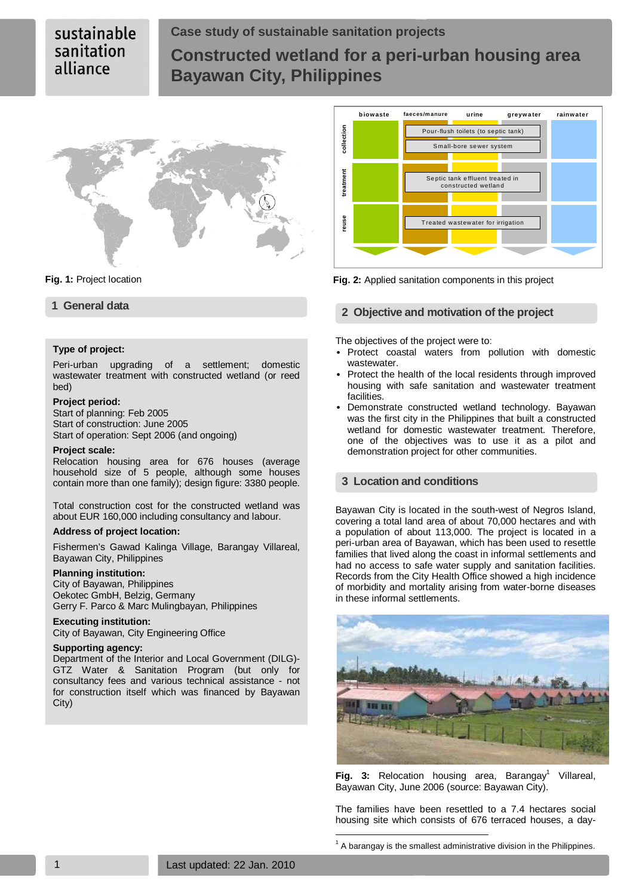# sustainable sanitation alliance

# **Case study of sustainable sanitation projects Constructed wetland for a peri-urban housing area Bayawan City, Philippines**



### **Type of project:**

Peri-urban upgrading of a settlement; domestic wastewater treatment with constructed wetland (or reed bed)

#### **Project period:**

Start of planning: Feb 2005 Start of construction: June 2005 Start of operation: Sept 2006 (and ongoing)

#### **Project scale:**

Relocation housing area for 676 houses (average household size of 5 people, although some houses contain more than one family); design figure: 3380 people.

Total construction cost for the constructed wetland was about EUR 160,000 including consultancy and labour.

### **Address of project location:**

Fishermen's Gawad Kalinga Village, Barangay Villareal, Bayawan City, Philippines

#### **Planning institution:**

City of Bayawan, Philippines Oekotec GmbH, Belzig, Germany Gerry F. Parco & Marc Mulingbayan, Philippines

# **Executing institution:**

City of Bayawan, City Engineering Office

### **Supporting agency:**

Department of the Interior and Local Government (DILG)- GTZ Water & Sanitation Program (but only for consultancy fees and various technical assistance - not for construction itself which was financed by Bayawan City)



**Fig. 1:** Project location **Fig. 2:** Applied sanitation components in this project

# **1 General data 2 Objective and motivation of the project**

The objectives of the project were to:

- Protect coastal waters from pollution with domestic wastewater.
- Protect the health of the local residents through improved housing with safe sanitation and wastewater treatment facilities.
- Demonstrate constructed wetland technology. Bayawan was the first city in the Philippines that built a constructed wetland for domestic wastewater treatment. Therefore, one of the objectives was to use it as a pilot and demonstration project for other communities.

### **3 Location and conditions**

Bayawan City is located in the south-west of Negros Island, covering a total land area of about 70,000 hectares and with a population of about 113,000. The project is located in a peri-urban area of Bayawan, which has been used to resettle families that lived along the coast in informal settlements and had no access to safe water supply and sanitation facilities. Records from the City Health Office showed a high incidence of morbidity and mortality arising from water-borne diseases in these informal settlements.



**Fig. 3:** Relocation housing area, Barangay<sup>1</sup> Villareal, Bayawan City, June 2006 (source: Bayawan City).

The families have been resettled to a 7.4 hectares social housing site which consists of 676 terraced houses, a day-

 $1$  A barangay is the smallest administrative division in the Philippines.

 $\overline{a}$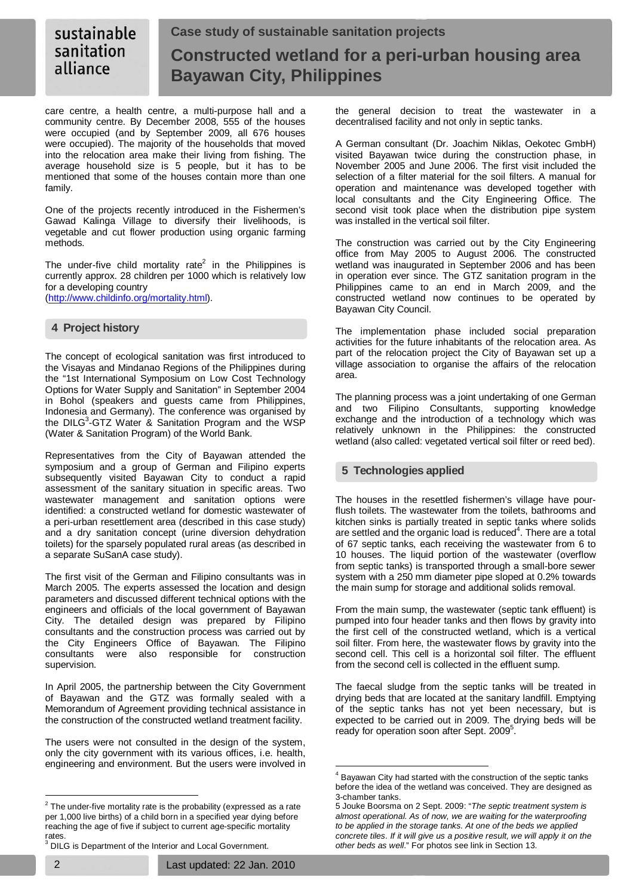#### sustainable **Case study of sustainable sanitation projects**  sanitation **Constructed wetland for a peri-urban housing area**  alliance **Bayawan City, Philippines**

care centre, a health centre, a multi-purpose hall and a community centre. By December 2008, 555 of the houses were occupied (and by September 2009, all 676 houses were occupied). The majority of the households that moved into the relocation area make their living from fishing. The average household size is 5 people, but it has to be mentioned that some of the houses contain more than one family.

One of the projects recently introduced in the Fishermen's Gawad Kalinga Village to diversify their livelihoods, is vegetable and cut flower production using organic farming methods.

The under-five child mortality rate<sup>2</sup> in the Philippines is currently approx. 28 children per 1000 which is relatively low for a developing country

(http://www.childinfo.org/mortality.html).

# **4 Project history**

The concept of ecological sanitation was first introduced to the Visayas and Mindanao Regions of the Philippines during the "1st International Symposium on Low Cost Technology Options for Water Supply and Sanitation" in September 2004 in Bohol (speakers and guests came from Philippines, Indonesia and Germany). The conference was organised by the DILG<sup>3</sup>-GTZ Water & Sanitation Program and the WSP (Water & Sanitation Program) of the World Bank.

Representatives from the City of Bayawan attended the symposium and a group of German and Filipino experts subsequently visited Bayawan City to conduct a rapid assessment of the sanitary situation in specific areas. Two wastewater management and sanitation options were identified: a constructed wetland for domestic wastewater of a peri-urban resettlement area (described in this case study) and a dry sanitation concept (urine diversion dehydration toilets) for the sparsely populated rural areas (as described in a separate SuSanA case study).

The first visit of the German and Filipino consultants was in March 2005. The experts assessed the location and design parameters and discussed different technical options with the engineers and officials of the local government of Bayawan City. The detailed design was prepared by Filipino consultants and the construction process was carried out by the City Engineers Office of Bayawan. The Filipino consultants were also responsible for construction supervision.

In April 2005, the partnership between the City Government of Bayawan and the GTZ was formally sealed with a Memorandum of Agreement providing technical assistance in the construction of the constructed wetland treatment facility.

The users were not consulted in the design of the system, only the city government with its various offices, i.e. health, engineering and environment. But the users were involved in

A German consultant (Dr. Joachim Niklas, Oekotec GmbH) visited Bayawan twice during the construction phase, in November 2005 and June 2006. The first visit included the selection of a filter material for the soil filters. A manual for operation and maintenance was developed together with local consultants and the City Engineering Office. The second visit took place when the distribution pipe system was installed in the vertical soil filter.

The construction was carried out by the City Engineering office from May 2005 to August 2006. The constructed wetland was inaugurated in September 2006 and has been in operation ever since. The GTZ sanitation program in the Philippines came to an end in March 2009, and the constructed wetland now continues to be operated by Bayawan City Council.

The implementation phase included social preparation activities for the future inhabitants of the relocation area. As part of the relocation project the City of Bayawan set up a village association to organise the affairs of the relocation area.

The planning process was a joint undertaking of one German and two Filipino Consultants, supporting knowledge exchange and the introduction of a technology which was relatively unknown in the Philippines: the constructed wetland (also called: vegetated vertical soil filter or reed bed).

# **5 Technologies applied**

 $\overline{a}$ 

The houses in the resettled fishermen's village have pourflush toilets. The wastewater from the toilets, bathrooms and kitchen sinks is partially treated in septic tanks where solids are settled and the organic load is reduced $4$ . There are a total of 67 septic tanks, each receiving the wastewater from 6 to 10 houses. The liquid portion of the wastewater (overflow from septic tanks) is transported through a small-bore sewer system with a 250 mm diameter pipe sloped at 0.2% towards the main sump for storage and additional solids removal.

From the main sump, the wastewater (septic tank effluent) is pumped into four header tanks and then flows by gravity into the first cell of the constructed wetland, which is a vertical soil filter. From here, the wastewater flows by gravity into the second cell. This cell is a horizontal soil filter. The effluent from the second cell is collected in the effluent sump.

The faecal sludge from the septic tanks will be treated in drying beds that are located at the sanitary landfill. Emptying of the septic tanks has not yet been necessary, but is expected to be carried out in 2009. The drying beds will be ready for operation soon after Sept. 2009<sup>5</sup>.

The under-five mortality rate is the probability (expressed as a rate<br>The under-five mortality rate is the probability (expressed as a rate per 1,000 live births) of a child born in a specified year dying before reaching the age of five if subject to current age-specific mortality rates.

<sup>&</sup>lt;sup>3</sup> DILG is Department of the Interior and Local Government.

<sup>4</sup> Bayawan City had started with the construction of the septic tanks before the idea of the wetland was conceived. They are designed as 3-chamber tanks.

<sup>5</sup> Jouke Boorsma on 2 Sept. 2009: "The septic treatment system is almost operational. As of now, we are waiting for the waterproofing to be applied in the storage tanks. At one of the beds we applied concrete tiles. If it will give us a positive result, we will apply it on the other beds as well." For photos see link in Section 13.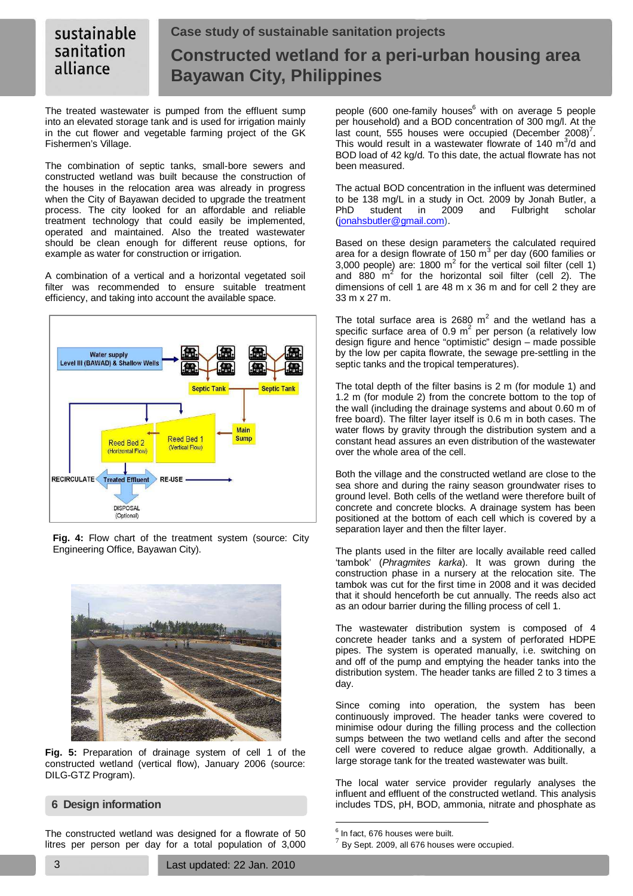#### **Case study of sustainable sanitation projects**  sustainable sanitation **Constructed wetland for a peri-urban housing area**  alliance **Bayawan City, Philippines**

The treated wastewater is pumped from the effluent sump into an elevated storage tank and is used for irrigation mainly in the cut flower and vegetable farming project of the GK Fishermen's Village.

The combination of septic tanks, small-bore sewers and constructed wetland was built because the construction of the houses in the relocation area was already in progress when the City of Bayawan decided to upgrade the treatment process. The city looked for an affordable and reliable treatment technology that could easily be implemented, operated and maintained. Also the treated wastewater should be clean enough for different reuse options, for example as water for construction or irrigation.

A combination of a vertical and a horizontal vegetated soil filter was recommended to ensure suitable treatment efficiency, and taking into account the available space.



**Fig. 4:** Flow chart of the treatment system (source: City Engineering Office, Bayawan City).



**Fig. 5:** Preparation of drainage system of cell 1 of the constructed wetland (vertical flow), January 2006 (source: DILG-GTZ Program).

# **6 Design information**

The constructed wetland was designed for a flowrate of 50 litres per person per day for a total population of 3,000

people (600 one-family houses<sup>6</sup> with on average 5 people per household) and a BOD concentration of 300 mg/l. At the last count, 555 houses were occupied (December 2008)<sup>7</sup>. This would result in a wastewater flowrate of 140  $m^3/d$  and BOD load of 42 kg/d. To this date, the actual flowrate has not been measured.

The actual BOD concentration in the influent was determined to be 138 mg/L in a study in Oct. 2009 by Jonah Butler, a PhD student in 2009 and Fulbright scholar (jonahsbutler@gmail.com).

Based on these design parameters the calculated required area for a design flowrate of 150  $\text{m}^3$  per day (600 families or 3,000 people) are: 1800  $m^2$  for the vertical soil filter (cell 1) and  $880 \text{ m}^2$  for the horizontal soil filter (cell 2). The dimensions of cell 1 are 48 m x 36 m and for cell 2 they are 33 m x 27 m.

The total surface area is 2680  $m^2$  and the wetland has a specific surface area of 0.9  $m^2$  per person (a relatively low design figure and hence "optimistic" design – made possible by the low per capita flowrate, the sewage pre-settling in the septic tanks and the tropical temperatures).

The total depth of the filter basins is 2 m (for module 1) and 1.2 m (for module 2) from the concrete bottom to the top of the wall (including the drainage systems and about 0.60 m of free board). The filter layer itself is 0.6 m in both cases. The water flows by gravity through the distribution system and a constant head assures an even distribution of the wastewater over the whole area of the cell.

Both the village and the constructed wetland are close to the sea shore and during the rainy season groundwater rises to ground level. Both cells of the wetland were therefore built of concrete and concrete blocks. A drainage system has been positioned at the bottom of each cell which is covered by a separation layer and then the filter layer.

The plants used in the filter are locally available reed called 'tambok' (Phragmites karka). It was grown during the construction phase in a nursery at the relocation site. The tambok was cut for the first time in 2008 and it was decided that it should henceforth be cut annually. The reeds also act as an odour barrier during the filling process of cell 1.

The wastewater distribution system is composed of 4 concrete header tanks and a system of perforated HDPE pipes. The system is operated manually, i.e. switching on and off of the pump and emptying the header tanks into the distribution system. The header tanks are filled 2 to 3 times a day.

Since coming into operation, the system has been continuously improved. The header tanks were covered to minimise odour during the filling process and the collection sumps between the two wetland cells and after the second cell were covered to reduce algae growth. Additionally, a large storage tank for the treated wastewater was built.

The local water service provider regularly analyses the influent and effluent of the constructed wetland. This analysis includes TDS, pH, BOD, ammonia, nitrate and phosphate as

<sup>&</sup>lt;sub>6</sub><br><sup>6</sup> In fact, 676 houses were built.

 $^{7}$  By Sept. 2009, all 676 houses were occupied.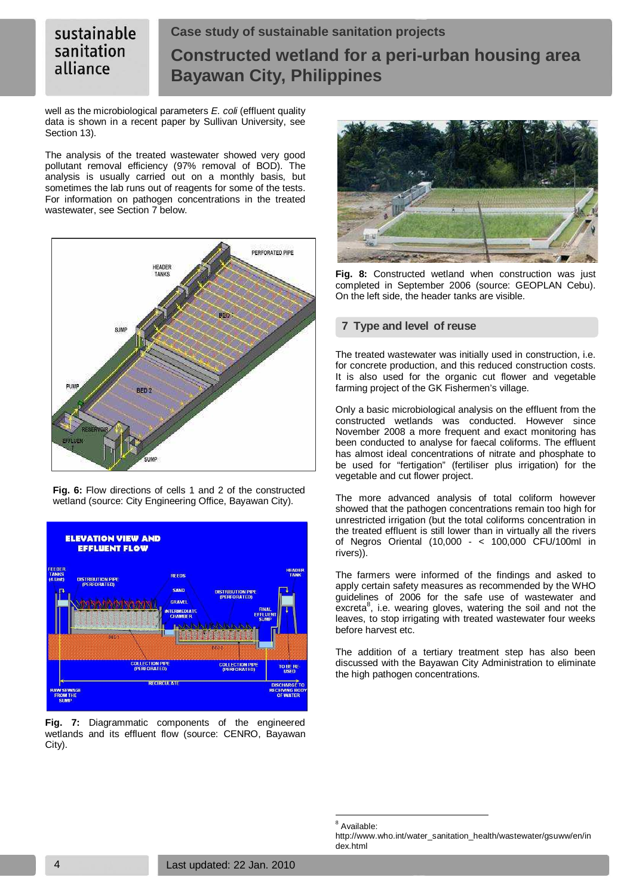#### sustainable **Case study of sustainable sanitation projects**  sanitation **Constructed wetland for a peri-urban housing area**  alliance **Bayawan City, Philippines**

well as the microbiological parameters E. coli (effluent quality data is shown in a recent paper by Sullivan University, see Section 13).

The analysis of the treated wastewater showed very good pollutant removal efficiency (97% removal of BOD). The analysis is usually carried out on a monthly basis, but sometimes the lab runs out of reagents for some of the tests. For information on pathogen concentrations in the treated wastewater, see Section 7 below.



**Fig. 6:** Flow directions of cells 1 and 2 of the constructed wetland (source: City Engineering Office, Bayawan City).



**Fig. 7:** Diagrammatic components of the engineered wetlands and its effluent flow (source: CENRO, Bayawan City).



**Fig. 8:** Constructed wetland when construction was just completed in September 2006 (source: GEOPLAN Cebu). On the left side, the header tanks are visible.

# **7 Type and level of reuse**

The treated wastewater was initially used in construction, i.e. for concrete production, and this reduced construction costs. It is also used for the organic cut flower and vegetable farming project of the GK Fishermen's village.

Only a basic microbiological analysis on the effluent from the constructed wetlands was conducted. However since November 2008 a more frequent and exact monitoring has been conducted to analyse for faecal coliforms. The effluent has almost ideal concentrations of nitrate and phosphate to be used for "fertigation" (fertiliser plus irrigation) for the vegetable and cut flower project.

The more advanced analysis of total coliform however showed that the pathogen concentrations remain too high for unrestricted irrigation (but the total coliforms concentration in the treated effluent is still lower than in virtually all the rivers of Negros Oriental (10,000 - < 100,000 CFU/100ml in rivers)).

The farmers were informed of the findings and asked to apply certain safety measures as recommended by the WHO guidelines of 2006 for the safe use of wastewater and excreta $^8$ , i.e. wearing gloves, watering the soil and not the leaves, to stop irrigating with treated wastewater four weeks before harvest etc.

The addition of a tertiary treatment step has also been discussed with the Bayawan City Administration to eliminate the high pathogen concentrations.

 $\overline{a}$ 

<sup>&</sup>lt;sup>8</sup> Available:

http://www.who.int/water\_sanitation\_health/wastewater/gsuww/en/in dex.html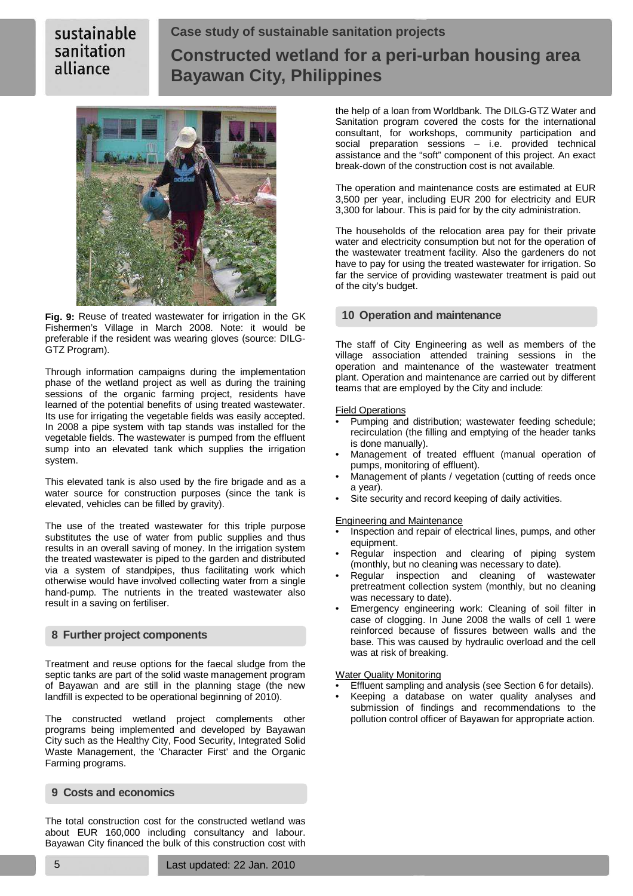# sustainable sanitation alliance

# **Case study of sustainable sanitation projects Constructed wetland for a peri-urban housing area Bayawan City, Philippines**



**Fig. 9:** Reuse of treated wastewater for irrigation in the GK Fishermen's Village in March 2008. Note: it would be preferable if the resident was wearing gloves (source: DILG-GTZ Program).

Through information campaigns during the implementation phase of the wetland project as well as during the training sessions of the organic farming project, residents have learned of the potential benefits of using treated wastewater. Its use for irrigating the vegetable fields was easily accepted. In 2008 a pipe system with tap stands was installed for the vegetable fields. The wastewater is pumped from the effluent sump into an elevated tank which supplies the irrigation system.

This elevated tank is also used by the fire brigade and as a water source for construction purposes (since the tank is elevated, vehicles can be filled by gravity).

The use of the treated wastewater for this triple purpose substitutes the use of water from public supplies and thus results in an overall saving of money. In the irrigation system the treated wastewater is piped to the garden and distributed via a system of standpipes, thus facilitating work which otherwise would have involved collecting water from a single hand-pump. The nutrients in the treated wastewater also result in a saving on fertiliser.

# **8 Further project components**

Treatment and reuse options for the faecal sludge from the septic tanks are part of the solid waste management program of Bayawan and are still in the planning stage (the new landfill is expected to be operational beginning of 2010).

The constructed wetland project complements other programs being implemented and developed by Bayawan City such as the Healthy City, Food Security, Integrated Solid Waste Management, the 'Character First' and the Organic Farming programs.

# **9 Costs and economics**

The total construction cost for the constructed wetland was about EUR 160,000 including consultancy and labour. Bayawan City financed the bulk of this construction cost with the help of a loan from Worldbank. The DILG-GTZ Water and Sanitation program covered the costs for the international consultant, for workshops, community participation and social preparation sessions – i.e. provided technical assistance and the "soft" component of this project. An exact break-down of the construction cost is not available.

The operation and maintenance costs are estimated at EUR 3,500 per year, including EUR 200 for electricity and EUR 3,300 for labour. This is paid for by the city administration.

The households of the relocation area pay for their private water and electricity consumption but not for the operation of the wastewater treatment facility. Also the gardeners do not have to pay for using the treated wastewater for irrigation. So far the service of providing wastewater treatment is paid out of the city's budget.

# **10 Operation and maintenance**

The staff of City Engineering as well as members of the village association attended training sessions in the operation and maintenance of the wastewater treatment plant. Operation and maintenance are carried out by different teams that are employed by the City and include:

### Field Operations

- Pumping and distribution; wastewater feeding schedule; recirculation (the filling and emptying of the header tanks is done manually).
- Management of treated effluent (manual operation of pumps, monitoring of effluent).
- Management of plants / vegetation (cutting of reeds once a year).
- Site security and record keeping of daily activities.

Engineering and Maintenance

- Inspection and repair of electrical lines, pumps, and other equipment.
- Regular inspection and clearing of piping system (monthly, but no cleaning was necessary to date).
- Regular inspection and cleaning of wastewater pretreatment collection system (monthly, but no cleaning was necessary to date).
- Emergency engineering work: Cleaning of soil filter in case of clogging. In June 2008 the walls of cell 1 were reinforced because of fissures between walls and the base. This was caused by hydraulic overload and the cell was at risk of breaking.

Water Quality Monitoring

- Effluent sampling and analysis (see Section 6 for details).
- Keeping a database on water quality analyses and submission of findings and recommendations to the pollution control officer of Bayawan for appropriate action.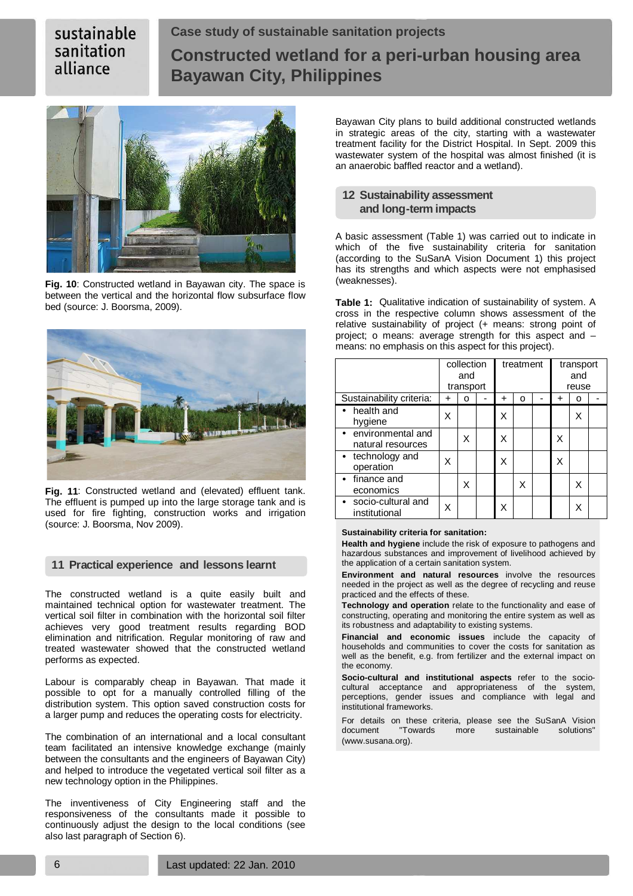# sustainable sanitation alliance

# **Case study of sustainable sanitation projects Constructed wetland for a peri-urban housing area Bayawan City, Philippines**



**Fig. 10**: Constructed wetland in Bayawan city. The space is between the vertical and the horizontal flow subsurface flow bed (source: J. Boorsma, 2009).



**Fig. 11**: Constructed wetland and (elevated) effluent tank. The effluent is pumped up into the large storage tank and is used for fire fighting, construction works and irrigation (source: J. Boorsma, Nov 2009).

# **11 Practical experience and lessons learnt**

The constructed wetland is a quite easily built and maintained technical option for wastewater treatment. The vertical soil filter in combination with the horizontal soil filter achieves very good treatment results regarding BOD elimination and nitrification. Regular monitoring of raw and treated wastewater showed that the constructed wetland performs as expected.

Labour is comparably cheap in Bayawan. That made it possible to opt for a manually controlled filling of the distribution system. This option saved construction costs for a larger pump and reduces the operating costs for electricity.

The combination of an international and a local consultant team facilitated an intensive knowledge exchange (mainly between the consultants and the engineers of Bayawan City) and helped to introduce the vegetated vertical soil filter as a new technology option in the Philippines.

The inventiveness of City Engineering staff and the responsiveness of the consultants made it possible to continuously adjust the design to the local conditions (see also last paragraph of Section 6).

Bayawan City plans to build additional constructed wetlands in strategic areas of the city, starting with a wastewater treatment facility for the District Hospital. In Sept. 2009 this wastewater system of the hospital was almost finished (it is an anaerobic baffled reactor and a wetland).

# **12 Sustainability assessment and long-term impacts**

A basic assessment (Table 1) was carried out to indicate in which of the five sustainability criteria for sanitation (according to the SuSanA Vision Document 1) this project has its strengths and which aspects were not emphasised (weaknesses).

**Table 1:** Qualitative indication of sustainability of system. A cross in the respective column shows assessment of the relative sustainability of project (+ means: strong point of project; o means: average strength for this aspect and – means: no emphasis on this aspect for this project).

|                                        | collection<br>and<br>transport |   |  | treatment |   |  | transport<br>and<br>reuse |   |  |
|----------------------------------------|--------------------------------|---|--|-----------|---|--|---------------------------|---|--|
| Sustainability criteria:               | ٠                              | о |  | ٠         | O |  | +                         | o |  |
| • health and<br>hygiene                | x                              |   |  | Χ         |   |  |                           | x |  |
| environmental and<br>natural resources |                                | Χ |  | X         |   |  | X                         |   |  |
| • technology and<br>operation          | x                              |   |  | X         |   |  | X                         |   |  |
| finance and<br>economics               |                                | Χ |  |           | X |  |                           | x |  |
| • socio-cultural and<br>institutional  |                                |   |  | X         |   |  |                           |   |  |

#### **Sustainability criteria for sanitation:**

**Health and hygiene** include the risk of exposure to pathogens and hazardous substances and improvement of livelihood achieved by the application of a certain sanitation system.

**Environment and natural resources** involve the resources needed in the project as well as the degree of recycling and reuse practiced and the effects of these.

**Technology and operation** relate to the functionality and ease of constructing, operating and monitoring the entire system as well as its robustness and adaptability to existing systems.

**Financial and economic issues** include the capacity of households and communities to cover the costs for sanitation as well as the benefit, e.g. from fertilizer and the external impact on the economy.

**Socio-cultural and institutional aspects** refer to the sociocultural acceptance and appropriateness of the system, perceptions, gender issues and compliance with legal and institutional frameworks.

For details on these criteria, please see the SuSanA Vision document "Towards more sustainable solutions" (www.susana.org).